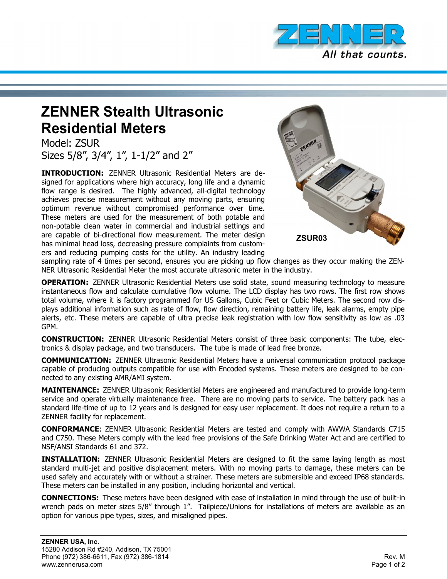

## **ZENNER Stealth Ultrasonic Residential Meters**

Model: ZSUR Sizes 5/8", 3/4", 1", 1-1/2" and 2"

**INTRODUCTION:** ZENNER Ultrasonic Residential Meters are designed for applications where high accuracy, long life and a dynamic flow range is desired. The highly advanced, all-digital technology achieves precise measurement without any moving parts, ensuring optimum revenue without compromised performance over time. These meters are used for the measurement of both potable and non-potable clean water in commercial and industrial settings and are capable of bi-directional flow measurement. The meter design has minimal head loss, decreasing pressure complaints from customers and reducing pumping costs for the utility. An industry leading



sampling rate of 4 times per second, ensures you are picking up flow changes as they occur making the ZEN-NER Ultrasonic Residential Meter the most accurate ultrasonic meter in the industry.

**OPERATION:** ZENNER Ultrasonic Residential Meters use solid state, sound measuring technology to measure instantaneous flow and calculate cumulative flow volume. The LCD display has two rows. The first row shows total volume, where it is factory programmed for US Gallons, Cubic Feet or Cubic Meters. The second row displays additional information such as rate of flow, flow direction, remaining battery life, leak alarms, empty pipe alerts, etc. These meters are capable of ultra precise leak registration with low flow sensitivity as low as .03 GPM.

**CONSTRUCTION:** ZENNER Ultrasonic Residential Meters consist of three basic components: The tube, electronics & display package, and two transducers. The tube is made of lead free bronze.

**COMMUNICATION:** ZENNER Ultrasonic Residential Meters have a universal communication protocol package capable of producing outputs compatible for use with Encoded systems. These meters are designed to be connected to any existing AMR/AMI system.

**MAINTENANCE:** ZENNER Ultrasonic Residential Meters are engineered and manufactured to provide long-term service and operate virtually maintenance free. There are no moving parts to service. The battery pack has a standard life-time of up to 12 years and is designed for easy user replacement. It does not require a return to a ZENNER facility for replacement.

**CONFORMANCE**: ZENNER Ultrasonic Residential Meters are tested and comply with AWWA Standards C715 and C750. These Meters comply with the lead free provisions of the Safe Drinking Water Act and are certified to NSF/ANSI Standards 61 and 372.

**INSTALLATION:** ZENNER Ultrasonic Residential Meters are designed to fit the same laying length as most standard multi-jet and positive displacement meters. With no moving parts to damage, these meters can be used safely and accurately with or without a strainer. These meters are submersible and exceed IP68 standards. These meters can be installed in any position, including horizontal and vertical.

**CONNECTIONS:** These meters have been designed with ease of installation in mind through the use of built-in wrench pads on meter sizes 5/8" through 1". Tailpiece/Unions for installations of meters are available as an option for various pipe types, sizes, and misaligned pipes.